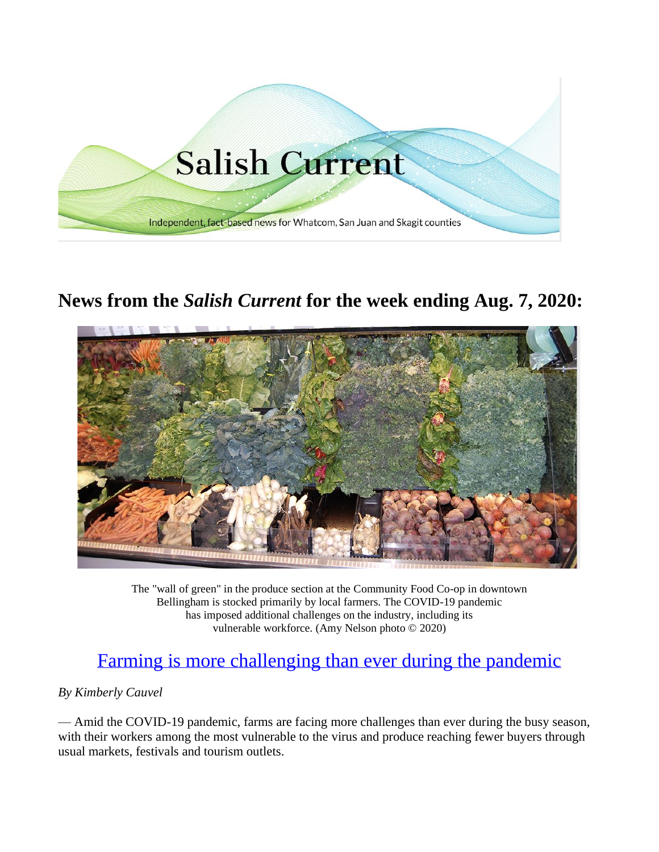

## **News from the** *Salish Current* **for the week ending Aug. 7, 2020:**



The "wall of green" in the produce section at the Community Food Co-op in downtown Bellingham is stocked primarily by local farmers. The COVID-19 pandemic has imposed additional challenges on the industry, including its vulnerable workforce. (Amy Nelson photo © 2020)

## [Farming is more challenging than ever during the pandemic](https://salish-current.org/2020/08/07/farming-is-more-challenging-than-ever-during-the-pandemic/)

## *By Kimberly Cauvel*

— Amid the COVID-19 pandemic, farms are facing more challenges than ever during the busy season, with their workers among the most vulnerable to the virus and produce reaching fewer buyers through usual markets, festivals and tourism outlets.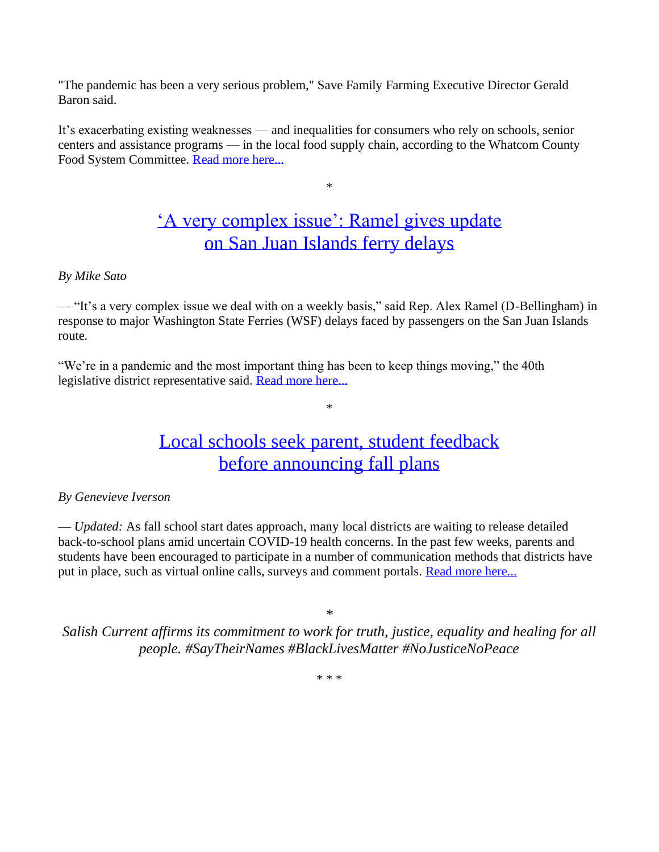"The pandemic has been a very serious problem," Save Family Farming Executive Director Gerald Baron said.

It's exacerbating existing weaknesses — and inequalities for consumers who rely on schools, senior centers and assistance programs — in the local food supply chain, according to the Whatcom County Food System Committee. [Read more here...](https://salish-current.org/2020/08/07/farming-is-more-challenging-than-ever-during-the-pandemic/) 

## ['A very complex issue': Ramel gives update](https://salish-current.org/2020/08/05/a-very-complex-issue-ramel-gives-update-on-san-juan-islands-ferry-delays/) [on San Juan Islands ferry delays](https://salish-current.org/2020/08/05/a-very-complex-issue-ramel-gives-update-on-san-juan-islands-ferry-delays/)

\*

### *By Mike Sato*

— "It's a very complex issue we deal with on a weekly basis," said Rep. Alex Ramel (D-Bellingham) in response to major Washington State Ferries (WSF) delays faced by passengers on the San Juan Islands route.

"We're in a pandemic and the most important thing has been to keep things moving," the 40th legislative district representative said. [Read more here...](https://salish-current.org/2020/08/05/a-very-complex-issue-ramel-gives-update-on-san-juan-islands-ferry-delays/) 

## [Local schools seek parent, student feedback](https://salish-current.org/2020/08/02/local-schools-seek-parent-student-feedback-before-announcing-fall-plans/) [before announcing fall plans](https://salish-current.org/2020/08/02/local-schools-seek-parent-student-feedback-before-announcing-fall-plans/)

\*

### *By Genevieve Iverson*

— *Updated:* As fall school start dates approach, many local districts are waiting to release detailed back-to-school plans amid uncertain COVID-19 health concerns. In the past few weeks, parents and students have been encouraged to participate in a number of communication methods that districts have put in place, such as virtual online calls, surveys and comment portals. Read more here...

*\**

*Salish Current affirms its commitment to work for truth, justice, equality and healing for all people. #SayTheirNames #BlackLivesMatter #NoJusticeNoPeace*

\* \* \*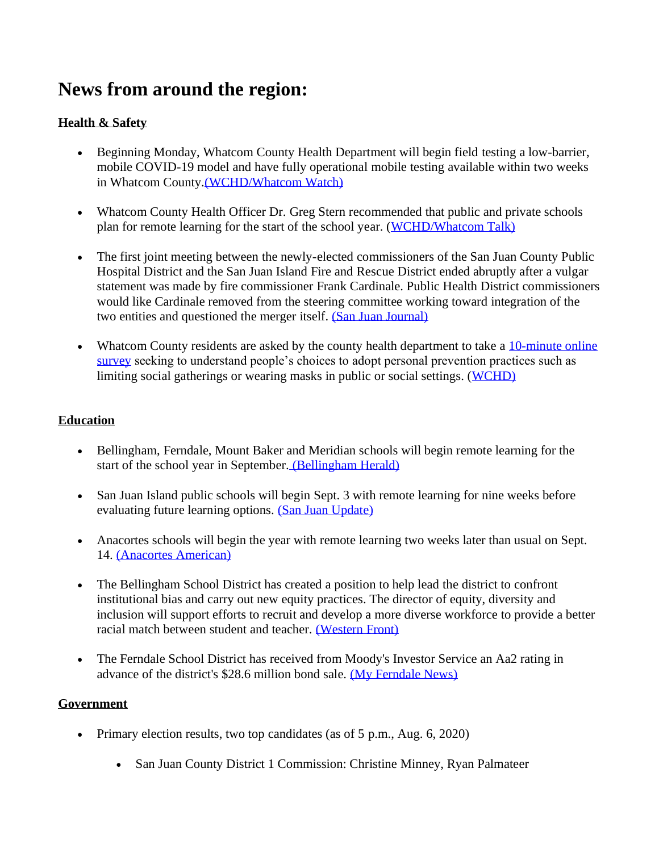# **News from around the region:**

## **Health & Safety**

- Beginning Monday, Whatcom County Health Department will begin field testing a low-barrier, mobile COVID-19 model and have fully operational mobile testing available within two weeks in Whatcom County[.\(WCHD/Whatcom Watch\)](https://www.whatcomtalk.com/2020/08/07/whatcom-county-health-department-and-whatcom-unified-command-partner-to-provide-expanded-low-barrier-covid-19-testing/)
- Whatcom County Health Officer Dr. Greg Stern recommended that public and private schools plan for remote learning for the start of the school year. [\(WCHD/Whatcom Talk\)](https://www.whatcomtalk.com/2020/08/04/whatcom-county-health-officer-recommends-remote-start-for-schools/)
- The first joint meeting between the newly-elected commissioners of the San Juan County Public Hospital District and the San Juan Island Fire and Rescue District ended abruptly after a vulgar statement was made by fire commissioner Frank Cardinale. Public Health District commissioners would like Cardinale removed from the steering committee working toward integration of the two entities and questioned the merger itself. (San Juan Journal)
- Whatcom County residents are asked by the county health department to take a 10-minute online [survey](https://wwu.az1.qualtrics.com/jfe/form/SV_cSF1H1pvHMhUxbT) seeking to understand people's choices to adopt personal prevention practices such as limiting social gatherings or wearing masks in public or social settings. [\(WCHD\)](https://wwu.az1.qualtrics.com/jfe/form/SV_cSF1H1pvHMhUxbT)

## **Education**

- Bellingham, Ferndale, Mount Baker and Meridian schools will begin remote learning for the start of the school year in September. [\(Bellingham Herald\)](https://www.bellinghamherald.com/news/coronavirus/article244732207.html?)
- San Juan Island public schools will begin Sept. 3 with remote learning for nine weeks before evaluating future learning options. [\(San Juan Update\)](https://sanjuanupdate.com/2020/08/san-juan-island-public-schools-fall-re-opening-plan/)
- Anacortes schools will begin the year with remote learning two weeks later than usual on Sept. 14. [\(Anacortes American\)](https://www.goskagit.com/anacortes/news/students-will-start-year-off-online/article_2765d8f4-d692-11ea-b20d-9ba4192a3d63.html)
- The Bellingham School District has created a position to help lead the district to confront institutional bias and carry out new equity practices. The director of equity, diversity and inclusion will support efforts to recruit and develop a more diverse workforce to provide a better racial match between student and teacher. [\(Western Front\)](https://www.westernfrontonline.com/2020/08/04/seeking-workforce-diversity-bellingham-school-district-creates-new-position/)
- The Ferndale School District has received from Moody's Investor Service an Aa2 rating in advance of the district's \$28.6 million bond sale. [\(My Ferndale News\)](https://myferndalenews.com/ferndale-school-district-keeps-high-credit-rating-taxpayers-to-benefit_105810/)

## **Government**

- Primary election results, two top candidates (as of 5 p.m., Aug. 6, 2020)
	- San Juan County District 1 Commission: Christine Minney, Ryan Palmateer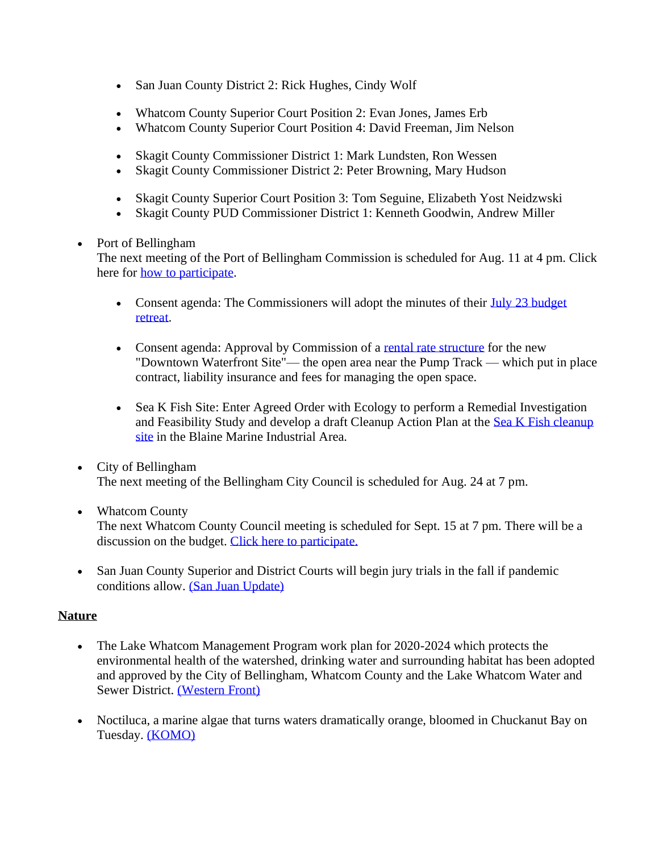- San Juan County District 2: Rick Hughes, Cindy Wolf
- Whatcom County Superior Court Position 2: Evan Jones, James Erb
- Whatcom County Superior Court Position 4: David Freeman, Jim Nelson
- Skagit County Commissioner District 1: Mark Lundsten, Ron Wessen
- Skagit County Commissioner District 2: Peter Browning, Mary Hudson
- Skagit County Superior Court Position 3: Tom Seguine, Elizabeth Yost Neidzwski
- Skagit County PUD Commissioner District 1: Kenneth Goodwin, Andrew Miller

## • Port of Bellingham

The next meeting of the Port of Bellingham Commission is scheduled for Aug. 11 at 4 pm. Click here for [how to participate.](https://www.portofbellingham.com/AgendaCenter/ViewFile/Agenda/_08112020-447)

- Consent agenda: The Commissioners will adopt the minutes of their July 23 budget [retreat.](https://www.portofbellingham.com/DocumentCenter/View/9547/CA-B)
- Consent agenda: Approval by Commission of a [rental rate structure](https://www.portofbellingham.com/DocumentCenter/View/9543/CA-F) for the new "Downtown Waterfront Site"— the open area near the Pump Track — which put in place contract, liability insurance and fees for managing the open space.
- Sea K Fish Site: Enter Agreed Order with Ecology to perform a Remedial Investigation and Feasibility Study and develop a draft Cleanup Action Plan at the [Sea K Fish cleanup](https://www.portofbellingham.com/DocumentCenter/View/9553/AI-4)  [site](https://www.portofbellingham.com/DocumentCenter/View/9553/AI-4) in the Blaine Marine Industrial Area.
- City of Bellingham The next meeting of the Bellingham City Council is scheduled for Aug. 24 at 7 pm.
- Whatcom County The next Whatcom County Council meeting is scheduled for Sept. 15 at 7 pm. There will be a discussion on the budget. [Click here to participate.](http://www.whatcomcounty.us/3415/Participate-in-Virtual-Council-Meetings)
- San Juan County Superior and District Courts will begin jury trials in the fall if pandemic conditions allow. [\(San Juan Update\)](https://sanjuanupdate.com/2020/08/san-juan-county-courts-prepare-to-resume-jury-trials-come-fall/)

## **Nature**

- The Lake Whatcom Management Program work plan for 2020-2024 which protects the environmental health of the watershed, drinking water and surrounding habitat has been adopted and approved by the City of Bellingham, Whatcom County and the Lake Whatcom Water and Sewer District. [\(Western Front\)](https://www.westernfrontonline.com/2020/08/01/lake-whatcom-protected-for-another-4-years/)
- Noctiluca, a marine algae that turns waters dramatically orange, bloomed in Chuckanut Bay on Tuesday. [\(KOMO\)](https://komonews.com/news/local/noctiluca-bloom-in-chuckanut-bay-may-be-a-first)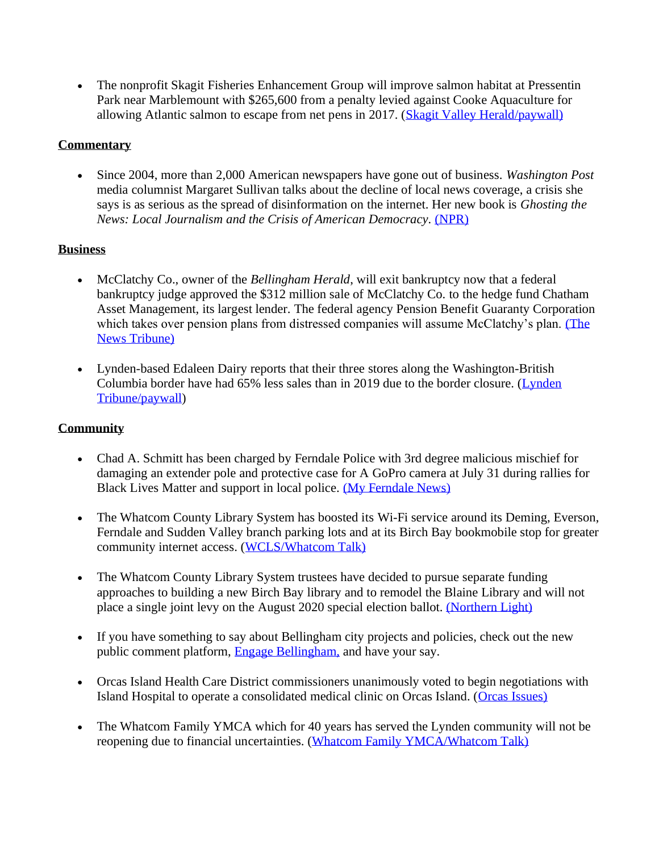• The nonprofit Skagit Fisheries Enhancement Group will improve salmon habitat at Pressentin Park near Marblemount with \$265,600 from a penalty levied against Cooke Aquaculture for allowing Atlantic salmon to escape from net pens in 2017. [\(Skagit Valley Herald/paywall\)](https://www.goskagit.com/news/local_news/local-salmon-project-gets-boost-from-cooke-aquaculture-fine/article_63abc9db-2c65-5151-bcca-e583954dd886.html) 

## **Commentary**

• Since 2004, more than 2,000 American newspapers have gone out of business. *Washington Post* media columnist Margaret Sullivan talks about the decline of local news coverage, a crisis she says is as serious as the spread of disinformation on the internet. Her new book is *Ghosting the News: Local Journalism and the Crisis of American Democracy.* [\(NPR\)](https://www.npr.org/2020/07/30/897134561/the-decline-of-local-news) 

## **Business**

- McClatchy Co., owner of the *Bellingham Herald*, will exit bankruptcy now that a federal bankruptcy judge approved the \$312 million sale of McClatchy Co. to the hedge fund Chatham Asset Management, its largest lender. The federal agency Pension Benefit Guaranty Corporation which takes over pension plans from distressed companies will assume McClatchy's plan. [\(The](https://www.thenewstribune.com/news/business/article244710217.html)  [News Tribune\)](https://www.thenewstribune.com/news/business/article244710217.html)
- Lynden-based Edaleen Dairy reports that their three stores along the Washington-British Columbia border have had 65% less sales than in 2019 due to the border closure. [\(Lynden](https://www.lyndentribune.com/news/edaleen-sales-down-65-at-border-stores/article_b38c9e7c-d6b9-11ea-8248-93145b4ab924.html)  [Tribune/paywall\)](https://www.lyndentribune.com/news/edaleen-sales-down-65-at-border-stores/article_b38c9e7c-d6b9-11ea-8248-93145b4ab924.html)

## **Community**

- Chad A. Schmitt has been charged by Ferndale Police with 3rd degree malicious mischief for damaging an extender pole and protective case for A GoPro camera at July 31 during rallies for Black Lives Matter and support in local police. (My Ferndale News)
- The Whatcom County Library System has boosted its Wi-Fi service around its Deming, Everson, Ferndale and Sudden Valley branch parking lots and at its Birch Bay bookmobile stop for greater community internet access. [\(WCLS/Whatcom Talk\)](https://www.whatcomtalk.com/2020/08/05/whatcom-county-library-system-extends-wifi-service-at-select-branches/)
- The Whatcom County Library System trustees have decided to pursue separate funding approaches to building a new Birch Bay library and to remodel the Blaine Library and will not place a single joint levy on the August 2020 special election ballot. [\(Northern Light\)](https://www.thenorthernlight.com/stories/wcls-wont-pursue-joint-levy-for-blaine-birch-bay-libraries,11177?)
- If you have something to say about Bellingham city projects and policies, check out the new public comment platform, [Engage Bellingham,](https://engagebellingham.org/) and have your say.
- Orcas Island Health Care District commissioners unanimously voted to begin negotiations with Island Hospital to operate a consolidated medical clinic on Orcas Island. [\(Orcas Issues\)](https://orcasissues.com/breaking-news-health-district-will-proceed-to-negotiations-with-island-hospital/)
- The Whatcom Family YMCA which for 40 years has served the Lynden community will not be reopening due to financial uncertainties. [\(Whatcom Family YMCA/Whatcom Talk\)](https://www.whatcomtalk.com/2020/07/31/whatcom-family-ymca-announces-that-the-lynden-ymca-will-not-reopen/)